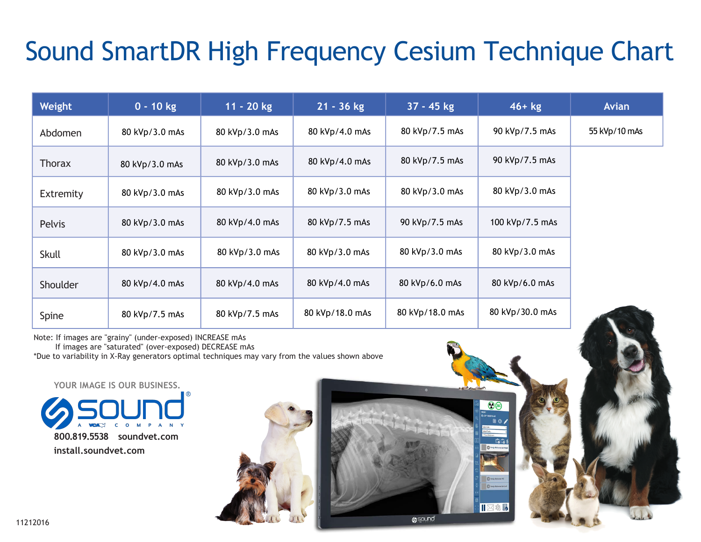## Sound SmartDR High Frequency Cesium Technique Chart

| Weight        | $0 - 10$ kg    | $11 - 20$ kg   | $21 - 36$ kg    | $37 - 45$ kg    | $46+kg$         | <b>Avian</b>  |
|---------------|----------------|----------------|-----------------|-----------------|-----------------|---------------|
| Abdomen       | 80 kVp/3.0 mAs | 80 kVp/3.0 mAs | 80 kVp/4.0 mAs  | 80 kVp/7.5 mAs  | 90 kVp/7.5 mAs  | 55 kVp/10 mAs |
| Thorax        | 80 kVp/3.0 mAs | 80 kVp/3.0 mAs | 80 kVp/4.0 mAs  | 80 kVp/7.5 mAs  | 90 kVp/7.5 mAs  |               |
| Extremity     | 80 kVp/3.0 mAs | 80 kVp/3.0 mAs | 80 kVp/3.0 mAs  | 80 kVp/3.0 mAs  | 80 kVp/3.0 mAs  |               |
| <b>Pelvis</b> | 80 kVp/3.0 mAs | 80 kVp/4.0 mAs | 80 kVp/7.5 mAs  | 90 kVp/7.5 mAs  | 100 kVp/7.5 mAs |               |
| <b>Skull</b>  | 80 kVp/3.0 mAs | 80 kVp/3.0 mAs | 80 kVp/3.0 mAs  | 80 kVp/3.0 mAs  | 80 kVp/3.0 mAs  |               |
| Shoulder      | 80 kVp/4.0 mAs | 80 kVp/4.0 mAs | 80 kVp/4.0 mAs  | 80 kVp/6.0 mAs  | 80 kVp/6.0 mAs  |               |
| Spine         | 80 kVp/7.5 mAs | 80 kVp/7.5 mAs | 80 kVp/18.0 mAs | 80 kVp/18.0 mAs | 80 kVp/30.0 mAs |               |

 $\odot$  (28)

 $\overline{0}$  tod

**O**sound

Note: If images are "grainy" (under-exposed) INCREASE mAs

If images are "saturated" (over-exposed) DECREASE mAs

\*Due to variability in X-Ray generators optimal techniques may vary from the values shown above

**800.819.5538 soundvet.com install.soundvet.com YOUR IMAGE IS OUR BUSINESS.**

11212016